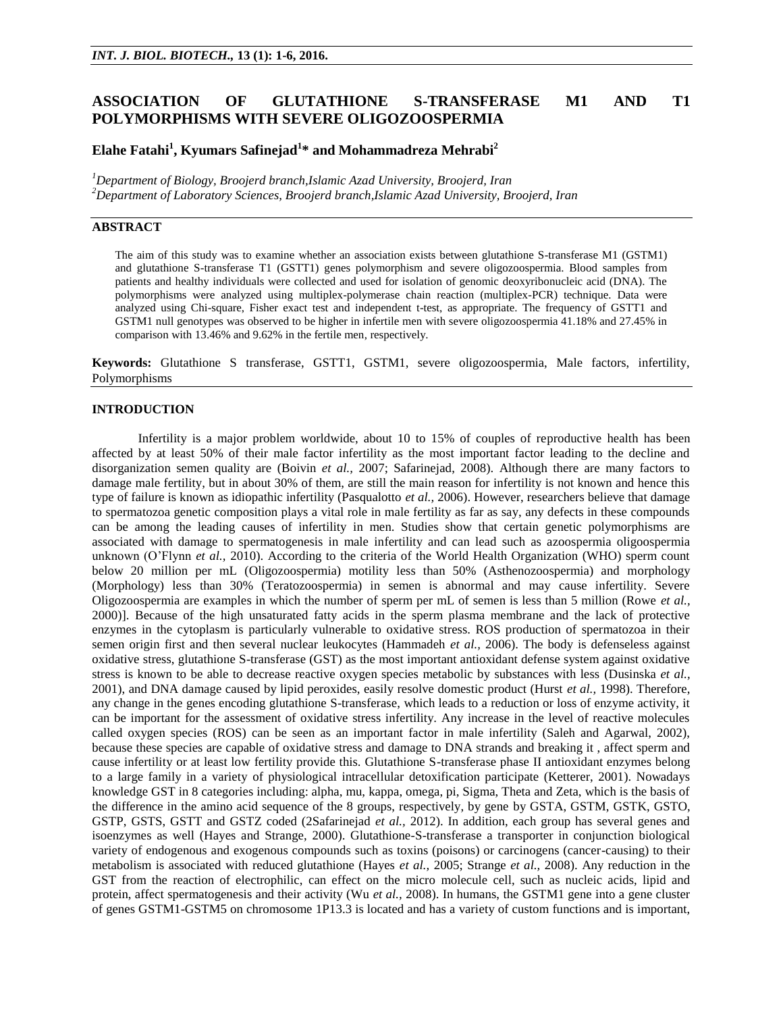# **ASSOCIATION OF GLUTATHIONE S-TRANSFERASE M1 AND T1 POLYMORPHISMS WITH SEVERE OLIGOZOOSPERMIA**

# **Elahe Fatahi<sup>1</sup> , Kyumars Safinejad<sup>1</sup> \* and Mohammadreza Mehrabi<sup>2</sup>**

*<sup>1</sup>Department of Biology, Broojerd branch,Islamic Azad University, Broojerd, Iran <sup>2</sup>Department of Laboratory Sciences, Broojerd branch,Islamic Azad University, Broojerd, Iran*

# **ABSTRACT**

The aim of this study was to examine whether an association exists between glutathione S-transferase M1 (GSTM1) and glutathione S-transferase T1 (GSTT1) genes polymorphism and severe oligozoospermia. Blood samples from patients and healthy individuals were collected and used for isolation of genomic deoxyribonucleic acid (DNA). The polymorphisms were analyzed using multiplex-polymerase chain reaction (multiplex-PCR) technique. Data were analyzed using Chi-square, Fisher exact test and independent t-test, as appropriate. The frequency of GSTT1 and GSTM1 null genotypes was observed to be higher in infertile men with severe oligozoospermia 41.18% and 27.45% in comparison with 13.46% and 9.62% in the fertile men, respectively.

**Keywords:** Glutathione S transferase, GSTT1, GSTM1, severe oligozoospermia, Male factors, infertility, Polymorphisms

## **INTRODUCTION**

Infertility is a major problem worldwide, about 10 to 15% of couples of reproductive health has been affected by at least 50% of their male factor infertility as the most important factor leading to the decline and disorganization semen quality are (Boivin *et al.,* 2007; Safarinejad, 2008). Although there are many factors to damage male fertility, but in about 30% of them, are still the main reason for infertility is not known and hence this type of failure is known as idiopathic infertility (Pasqualotto *et al.,* 2006). However, researchers believe that damage to spermatozoa genetic composition plays a vital role in male fertility as far as say, any defects in these compounds can be among the leading causes of infertility in men. Studies show that certain genetic polymorphisms are associated with damage to spermatogenesis in male infertility and can lead such as azoospermia oligoospermia unknown (O'Flynn *et al.,* 2010). According to the criteria of the World Health Organization (WHO) sperm count below 20 million per mL (Oligozoospermia) motility less than 50% (Asthenozoospermia) and morphology (Morphology) less than 30% (Teratozoospermia) in semen is abnormal and may cause infertility. Severe Oligozoospermia are examples in which the number of sperm per mL of semen is less than 5 million (Rowe *et al.,* 2000)]. Because of the high unsaturated fatty acids in the sperm plasma membrane and the lack of protective enzymes in the cytoplasm is particularly vulnerable to oxidative stress. ROS production of spermatozoa in their semen origin first and then several nuclear leukocytes (Hammadeh *et al.,* 2006). The body is defenseless against oxidative stress, glutathione S-transferase (GST) as the most important antioxidant defense system against oxidative stress is known to be able to decrease reactive oxygen species metabolic by substances with less (Dusinska *et al.,* 2001), and DNA damage caused by lipid peroxides, easily resolve domestic product (Hurst *et al.,* 1998). Therefore, any change in the genes encoding glutathione S-transferase, which leads to a reduction or loss of enzyme activity, it can be important for the assessment of oxidative stress infertility. Any increase in the level of reactive molecules called oxygen species (ROS) can be seen as an important factor in male infertility (Saleh and Agarwal, 2002), because these species are capable of oxidative stress and damage to DNA strands and breaking it , affect sperm and cause infertility or at least low fertility provide this. Glutathione S-transferase phase II antioxidant enzymes belong to a large family in a variety of physiological intracellular detoxification participate (Ketterer, 2001). Nowadays knowledge GST in 8 categories including: alpha, mu, kappa, omega, pi, Sigma, Theta and Zeta, which is the basis of the difference in the amino acid sequence of the 8 groups, respectively, by gene by GSTA, GSTM, GSTK, GSTO, GSTP, GSTS, GSTT and GSTZ coded (2Safarinejad *et al.,* 2012). In addition, each group has several genes and isoenzymes as well (Hayes and Strange, 2000). Glutathione-S-transferase a transporter in conjunction biological variety of endogenous and exogenous compounds such as toxins (poisons) or carcinogens (cancer-causing) to their metabolism is associated with reduced glutathione (Hayes *et al.,* 2005; Strange *et al.,* 2008). Any reduction in the GST from the reaction of electrophilic, can effect on the micro molecule cell, such as nucleic acids, lipid and protein, affect spermatogenesis and their activity (Wu *et al.,* 2008). In humans, the GSTM1 gene into a gene cluster of genes GSTM1-GSTM5 on chromosome 1P13.3 is located and has a variety of custom functions and is important,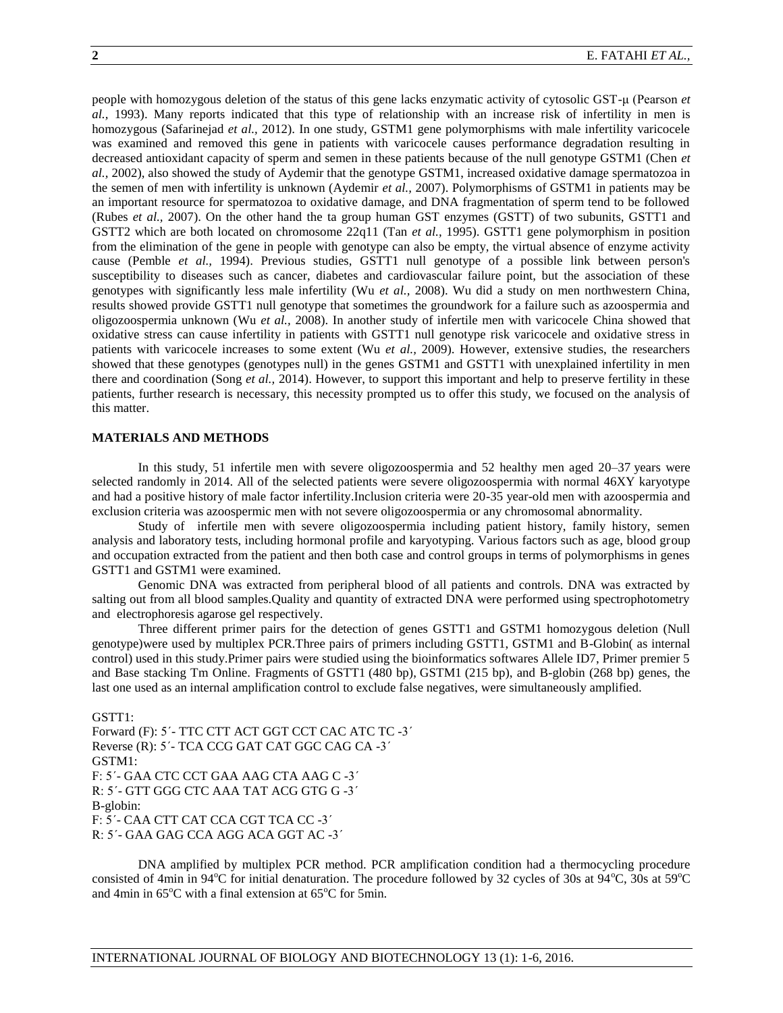people with homozygous deletion of the status of this gene lacks enzymatic activity of cytosolic GST-μ (Pearson *et al.,* 1993). Many reports indicated that this type of relationship with an increase risk of infertility in men is homozygous (Safarinejad *et al.,* 2012). In one study, GSTM1 gene polymorphisms with male infertility varicocele was examined and removed this gene in patients with varicocele causes performance degradation resulting in decreased antioxidant capacity of sperm and semen in these patients because of the null genotype GSTM1 (Chen *et al.,* 2002), also showed the study of Aydemir that the genotype GSTM1, increased oxidative damage spermatozoa in the semen of men with infertility is unknown (Aydemir *et al.,* 2007). Polymorphisms of GSTM1 in patients may be an important resource for spermatozoa to oxidative damage, and DNA fragmentation of sperm tend to be followed (Rubes *et al.,* 2007). On the other hand the ta group human GST enzymes (GSTT) of two subunits, GSTT1 and GSTT2 which are both located on chromosome 22q11 (Tan *et al.,* 1995). GSTT1 gene polymorphism in position from the elimination of the gene in people with genotype can also be empty, the virtual absence of enzyme activity cause (Pemble *et al.,* 1994). Previous studies, GSTT1 null genotype of a possible link between person's susceptibility to diseases such as cancer, diabetes and cardiovascular failure point, but the association of these genotypes with significantly less male infertility (Wu *et al.,* 2008). Wu did a study on men northwestern China, results showed provide GSTT1 null genotype that sometimes the groundwork for a failure such as azoospermia and oligozoospermia unknown (Wu *et al.,* 2008). In another study of infertile men with varicocele China showed that oxidative stress can cause infertility in patients with GSTT1 null genotype risk varicocele and oxidative stress in patients with varicocele increases to some extent (Wu *et al.,* 2009). However, extensive studies, the researchers showed that these genotypes (genotypes null) in the genes GSTM1 and GSTT1 with unexplained infertility in men there and coordination (Song *et al.,* 2014). However, to support this important and help to preserve fertility in these patients, further research is necessary, this necessity prompted us to offer this study, we focused on the analysis of this matter.

### **MATERIALS AND METHODS**

In this study, 51 infertile men with severe oligozoospermia and 52 healthy men aged 20–37 years were selected randomly in 2014. All of the selected patients were severe oligozoospermia with normal 46XY karyotype and had a positive history of male factor infertility.Inclusion criteria were 20-35 year-old men with azoospermia and exclusion criteria was azoospermic men with not severe oligozoospermia or any chromosomal abnormality.

Study of infertile men with severe oligozoospermia including patient history, family history, semen analysis and laboratory tests, including hormonal profile and karyotyping. Various factors such as age, blood group and occupation extracted from the patient and then both case and control groups in terms of polymorphisms in genes GSTT1 and GSTM1 were examined.

Genomic DNA was extracted from peripheral blood of all patients and controls. DNA was extracted by salting out from all blood samples.Quality and quantity of extracted DNA were performed using spectrophotometry and electrophoresis agarose gel respectively.

Three different primer pairs for the detection of genes GSTT1 and GSTM1 homozygous deletion (Null genotype)were used by multiplex PCR.Three pairs of primers including GSTT1, GSTM1 and B-Globin( as internal control) used in this study. Primer pairs were studied using the bioinformatics softwares Allele ID7, Primer premier 5 and Base stacking Tm Online. Fragments of GSTT1 (480 bp), GSTM1 (215 bp), and B-globin (268 bp) genes, the last one used as an internal amplification control to exclude false negatives, were simultaneously amplified.

GSTT1: Forward (F): 5΄- TTC CTT ACT GGT CCT CAC ATC TC -3΄ Reverse (R): 5΄- TCA CCG GAT CAT GGC CAG CA -3΄ GSTM1: F: 5΄- GAA CTC CCT GAA AAG CTA AAG C -3΄ R: 5΄- GTT GGG CTC AAA TAT ACG GTG G -3΄ B-globin: F: 5΄- CAA CTT CAT CCA CGT TCA CC -3΄ R: 5΄- GAA GAG CCA AGG ACA GGT AC -3΄

DNA amplified by multiplex PCR method. PCR amplification condition had a thermocycling procedure consisted of 4min in 94 $\rm ^{o}C$  for initial denaturation. The procedure followed by 32 cycles of 30s at 94 $\rm ^{o}C$ , 30s at 59 $\rm ^{o}C$ and 4min in  $65^{\circ}$ C with a final extension at  $65^{\circ}$ C for 5min.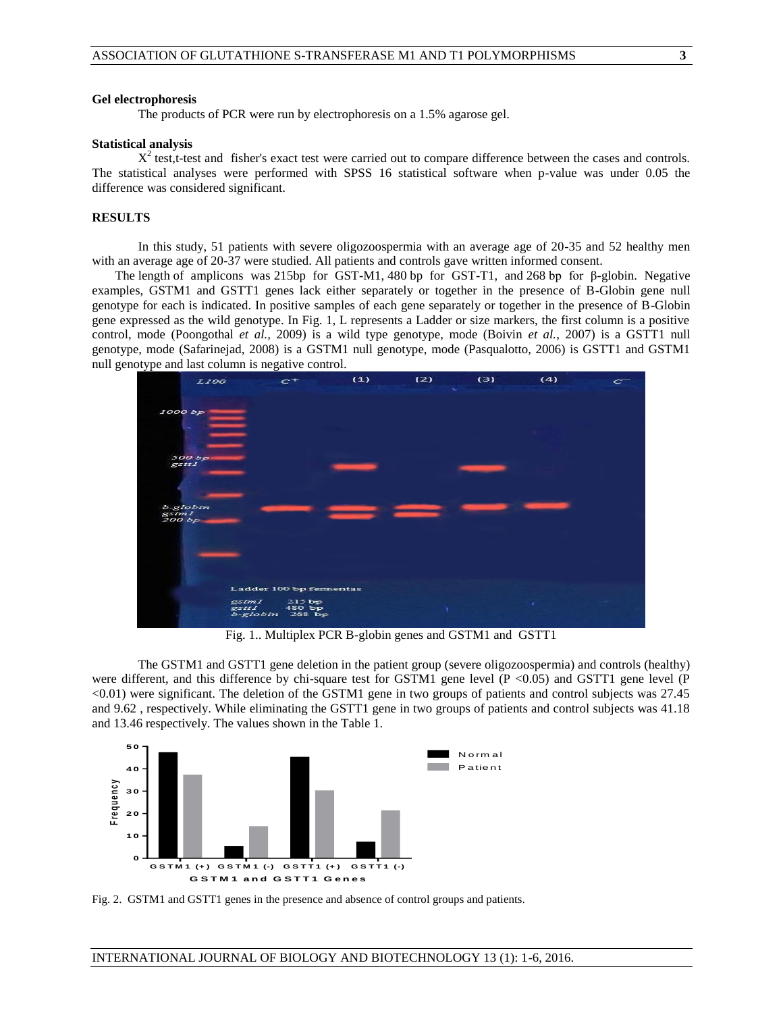### **Gel electrophoresis**

The products of PCR were run by electrophoresis on a 1.5% agarose gel.

#### **Statistical analysis**

 $X^2$  test,t-test and fisher's exact test were carried out to compare difference between the cases and controls. The statistical analyses were performed with SPSS 16 statistical software when p-value was under 0.05 the difference was considered significant.

## **RESULTS**

In this study, 51 patients with severe oligozoospermia with an average age of 20-35 and 52 healthy men with an average age of 20-37 were studied. All patients and controls gave written informed consent.

The length of amplicons was 215bp for GST-M1, 480 bp for GST-T1, and 268 bp for β-globin. Negative examples, GSTM1 and GSTT1 genes lack either separately or together in the presence of B-Globin gene null genotype for each is indicated. In positive samples of each gene separately or together in the presence of B-Globin gene expressed as the wild genotype. In Fig. 1, L represents a Ladder or size markers, the first column is a positive control, mode (Poongothal *et al.,* 2009) is a wild type genotype, mode (Boivin *et al.,* 2007) is a GSTT1 null genotype, mode (Safarinejad, 2008) is a GSTM1 null genotype, mode (Pasqualotto, 2006) is GSTT1 and GSTM1 null genotype and last column is negative control.



Fig. 1.. Multiplex PCR B-globin genes and GSTM1 and GSTT1

The GSTM1 and GSTT1 gene deletion in the patient group (severe oligozoospermia) and controls (healthy) were different, and this difference by chi-square test for GSTM1 gene level  $(P \lt 0.05)$  and GSTT1 gene level  $(P$ <0.01) were significant. The deletion of the GSTM1 gene in two groups of patients and control subjects was 27.45 and 9.62 , respectively. While eliminating the GSTT1 gene in two groups of patients and control subjects was 41.18 and 13.46 respectively. The values shown in the Table 1.



Fig. 2. GSTM1 and GSTT1 genes in the presence and absence of control groups and patients.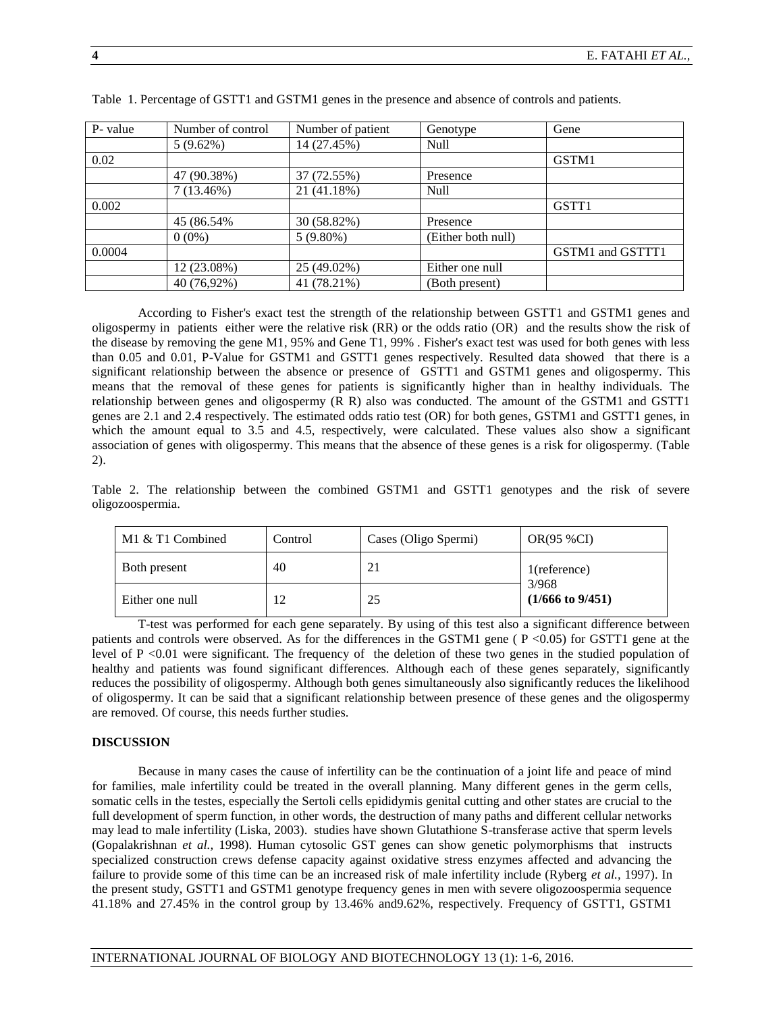| P- value | Number of control | Number of patient | Genotype           | Gene             |
|----------|-------------------|-------------------|--------------------|------------------|
|          | $5(9.62\%)$       | 14 (27.45%)       | Null               |                  |
| 0.02     |                   |                   |                    | GSTM1            |
|          | 47 (90.38%)       | 37 (72.55%)       | Presence           |                  |
|          | $7(13.46\%)$      | 21 (41.18%)       | Null               |                  |
| 0.002    |                   |                   |                    | GSTT1            |
|          | 45 (86.54%)       | 30 (58.82%)       | Presence           |                  |
|          | $0(0\%)$          | $5(9.80\%)$       | (Either both null) |                  |
| 0.0004   |                   |                   |                    | GSTM1 and GSTTT1 |
|          | 12 (23.08%)       | 25 (49.02%)       | Either one null    |                  |
|          | 40 (76,92%)       | 41 (78.21%)       | (Both present)     |                  |

Table 1. Percentage of GSTT1 and GSTM1 genes in the presence and absence of controls and patients.

According to Fisher's exact test the strength of the relationship between GSTT1 and GSTM1 genes and oligospermy in patients either were the relative risk (RR) or the odds ratio (OR) and the results show the risk of the disease by removing the gene M1, 95% and Gene T1, 99% . Fisher's exact test was used for both genes with less than 0.05 and 0.01, P-Value for GSTM1 and GSTT1 genes respectively. Resulted data showed that there is a significant relationship between the absence or presence of GSTT1 and GSTM1 genes and oligospermy. This means that the removal of these genes for patients is significantly higher than in healthy individuals. The relationship between genes and oligospermy (R R) also was conducted. The amount of the GSTM1 and GSTT1 genes are 2.1 and 2.4 respectively. The estimated odds ratio test (OR) for both genes, GSTM1 and GSTT1 genes, in which the amount equal to 3.5 and 4.5, respectively, were calculated. These values also show a significant association of genes with oligospermy. This means that the absence of these genes is a risk for oligospermy. (Table 2).

Table 2. The relationship between the combined GSTM1 and GSTT1 genotypes and the risk of severe oligozoospermia.

| M1 & T1 Combined | Control | Cases (Oligo Spermi) | <b>OR(95 %CI)</b>                                       |
|------------------|---------|----------------------|---------------------------------------------------------|
| Both present     | 40      |                      | $1$ (reference)<br>3/968<br>$(1/666 \text{ to } 9/451)$ |
| Either one null  |         | 25                   |                                                         |

T-test was performed for each gene separately. By using of this test also a significant difference between patients and controls were observed. As for the differences in the GSTM1 gene ( P <0.05) for GSTT1 gene at the level of P <0.01 were significant. The frequency of the deletion of these two genes in the studied population of healthy and patients was found significant differences. Although each of these genes separately, significantly reduces the possibility of oligospermy. Although both genes simultaneously also significantly reduces the likelihood of oligospermy. It can be said that a significant relationship between presence of these genes and the oligospermy are removed. Of course, this needs further studies.

## **DISCUSSION**

Because in many cases the cause of infertility can be the continuation of a joint life and peace of mind for families, male infertility could be treated in the overall planning. Many different genes in the germ cells, somatic cells in the testes, especially the Sertoli cells epididymis genital cutting and other states are crucial to the full development of sperm function, in other words, the destruction of many paths and different cellular networks may lead to male infertility (Liska, 2003). studies have shown Glutathione S-transferase active that sperm levels (Gopalakrishnan *et al.,* 1998). Human cytosolic GST genes can show genetic polymorphisms that instructs specialized construction crews defense capacity against oxidative stress enzymes affected and advancing the failure to provide some of this time can be an increased risk of male infertility include (Ryberg *et al.,* 1997). In the present study, GSTT1 and GSTM1 genotype frequency genes in men with severe oligozoospermia sequence 41.18% and 27.45% in the control group by 13.46% and9.62%, respectively. Frequency of GSTT1, GSTM1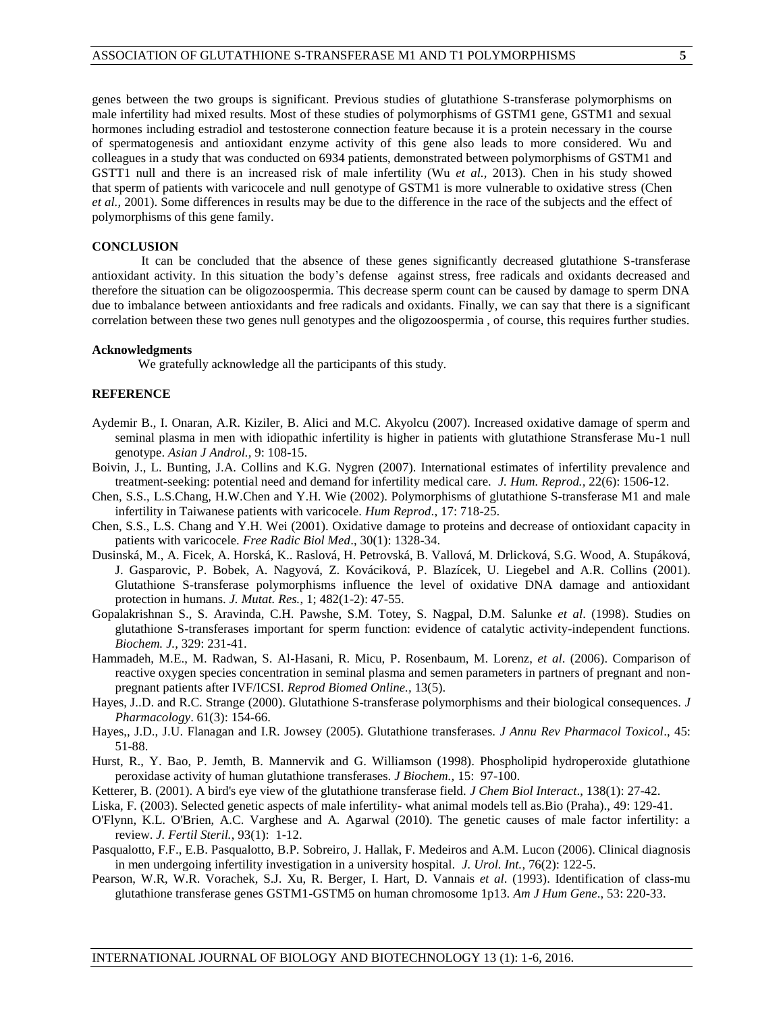genes between the two groups is significant. Previous studies of glutathione S-transferase polymorphisms on male infertility had mixed results. Most of these studies of polymorphisms of GSTM1 gene, GSTM1 and sexual hormones including estradiol and testosterone connection feature because it is a protein necessary in the course of spermatogenesis and antioxidant enzyme activity of this gene also leads to more considered. Wu and colleagues in a study that was conducted on 6934 patients, demonstrated between polymorphisms of GSTM1 and GSTT1 null and there is an increased risk of male infertility (Wu *et al.,* 2013). Chen in his study showed that sperm of patients with varicocele and null genotype of GSTM1 is more vulnerable to oxidative stress (Chen *et al.,* 2001). Some differences in results may be due to the difference in the race of the subjects and the effect of polymorphisms of this gene family.

### **CONCLUSION**

It can be concluded that the absence of these genes significantly decreased glutathione S-transferase antioxidant activity. In this situation the body's defense against stress, free radicals and oxidants decreased and therefore the situation can be oligozoospermia. This decrease sperm count can be caused by damage to sperm DNA due to imbalance between antioxidants and free radicals and oxidants. Finally, we can say that there is a significant correlation between these two genes null genotypes and the oligozoospermia , of course, this requires further studies.

### **Acknowledgments**

We gratefully acknowledge all the participants of this study.

### **REFERENCE**

- Aydemir B., I. Onaran, A.R. Kiziler, B. Alici and M.C. Akyolcu (2007). Increased oxidative damage of sperm and seminal plasma in men with idiopathic infertility is higher in patients with glutathione Stransferase Mu-1 null genotype. *Asian J Androl.,* 9: 108-15.
- [Boivin, J.,](http://www.ncbi.nlm.nih.gov/pubmed?term=Boivin%20J%5BAuthor%5D&cauthor=true&cauthor_uid=17376819) L. [Bunting, J](http://www.ncbi.nlm.nih.gov/pubmed?term=Bunting%20L%5BAuthor%5D&cauthor=true&cauthor_uid=17376819).A. [Collins](http://www.ncbi.nlm.nih.gov/pubmed?term=Collins%20JA%5BAuthor%5D&cauthor=true&cauthor_uid=17376819) and K.G. [Nygren](http://www.ncbi.nlm.nih.gov/pubmed?term=Nygren%20KG%5BAuthor%5D&cauthor=true&cauthor_uid=17376819) (2007). International estimates of infertility prevalence and treatment-seeking: potential need and demand for infertility medical care. *J. [Hum. Reprod.,](http://www.ncbi.nlm.nih.gov/pubmed/?term=Boivin+J%2C+Bunting+L%2C+Collins+JA%2C+Nygren+KG.+International+esti-mates+of+infertility+prevalence+and+treatment-seeking%3A+potential+need+and+demand+for+infertility+medical+care.+Hum+Reprod.+2007%3B22%3A1506%E2%80%9312.)* 22(6): 1506-12.
- Chen, S.S., L.S.Chang, H.W.Chen and Y.H. Wie (2002). Polymorphisms of glutathione S-transferase M1 and male infertility in Taiwanese patients with varicocele. *Hum Reprod*., 17: 718-25.
- Chen, S.S., L.S. Chang and Y.H. Wei (2001). Oxidative damage to proteins and decrease of ontioxidant capacity in patients with varicocele. *Free Radic Biol Med*., 30(1): 1328-34.
- [Dusinská, M.](http://www.ncbi.nlm.nih.gov/pubmed?term=Dusinsk%C3%A1%20M%5BAuthor%5D&cauthor=true&cauthor_uid=11535248), A. [Ficek, A.](http://www.ncbi.nlm.nih.gov/pubmed?term=Ficek%20A%5BAuthor%5D&cauthor=true&cauthor_uid=11535248) [Horská, K](http://www.ncbi.nlm.nih.gov/pubmed?term=Horsk%C3%A1%20A%5BAuthor%5D&cauthor=true&cauthor_uid=11535248).. [Raslová, H](http://www.ncbi.nlm.nih.gov/pubmed?term=Raslov%C3%A1%20K%5BAuthor%5D&cauthor=true&cauthor_uid=11535248). [Petrovská, B](http://www.ncbi.nlm.nih.gov/pubmed?term=Petrovsk%C3%A1%20H%5BAuthor%5D&cauthor=true&cauthor_uid=11535248). [Vallová, M](http://www.ncbi.nlm.nih.gov/pubmed?term=Vallov%C3%A1%20B%5BAuthor%5D&cauthor=true&cauthor_uid=11535248). [Drlicková, S](http://www.ncbi.nlm.nih.gov/pubmed?term=Drlickov%C3%A1%20M%5BAuthor%5D&cauthor=true&cauthor_uid=11535248).G. [Wood, A](http://www.ncbi.nlm.nih.gov/pubmed?term=Wood%20SG%5BAuthor%5D&cauthor=true&cauthor_uid=11535248). [Stupáková,](http://www.ncbi.nlm.nih.gov/pubmed?term=Stup%C3%A1kov%C3%A1%20A%5BAuthor%5D&cauthor=true&cauthor_uid=11535248)  J. [Gasparovic, P](http://www.ncbi.nlm.nih.gov/pubmed?term=Gasparovic%20J%5BAuthor%5D&cauthor=true&cauthor_uid=11535248). [Bobek, A](http://www.ncbi.nlm.nih.gov/pubmed?term=Bobek%20P%5BAuthor%5D&cauthor=true&cauthor_uid=11535248). [Nagyová, Z](http://www.ncbi.nlm.nih.gov/pubmed?term=Nagyov%C3%A1%20A%5BAuthor%5D&cauthor=true&cauthor_uid=11535248). [Kováciková, P](http://www.ncbi.nlm.nih.gov/pubmed?term=Kov%C3%A1cikov%C3%A1%20Z%5BAuthor%5D&cauthor=true&cauthor_uid=11535248). [Blazícek, U](http://www.ncbi.nlm.nih.gov/pubmed?term=Blaz%C3%ADcek%20P%5BAuthor%5D&cauthor=true&cauthor_uid=11535248). [Liegebel](http://www.ncbi.nlm.nih.gov/pubmed?term=Liegebel%20U%5BAuthor%5D&cauthor=true&cauthor_uid=11535248) and A.R. [Collins](http://www.ncbi.nlm.nih.gov/pubmed?term=Collins%20AR%5BAuthor%5D&cauthor=true&cauthor_uid=11535248) (2001). Glutathione S-transferase polymorphisms influence the level of oxidative DNA damage and antioxidant protection in humans. *J. [Mutat. Res.](http://www.ncbi.nlm.nih.gov/pubmed/?term=Dusinsk%C3%A1+M%2C+Ficek+A%2C+Horsk%C3%A1+A%2C+Raslov%C3%A1+K%2C+Petrovsk%C3%A1+H%2C+Vallov%C3%A1+B%2C+et+al.+Glutathione+S-transferase+polymorphisms+influence+the+level+of+oxidative+DNA+damage+and+antioxidant+protection+in+humans.+Mutat+Res.+2001%3B482%3A47%E2%80%9355.)*, 1; 482(1-2): 47-55.
- Gopalakrishnan S., S. Aravinda, C.H. Pawshe, S.M. Totey, S. Nagpal, D.M. Salunke *et al*. (1998). Studies on glutathione S-transferases important for sperm function: evidence of catalytic activity-independent functions. *Biochem. J.,* 329: 231-41.
- Hammadeh, M.E., M. Radwan, S. Al-Hasani, R. Micu, P. Rosenbaum, M. Lorenz, *et al*. (2006). Comparison of reactive oxygen species concentration in seminal plasma and semen parameters in partners of pregnant and nonpregnant patients after IVF/ICSI. *Reprod Biomed Online.,* 13(5).
- Hayes, J..D. and R.C. Strange (2000). Glutathione S-transferase polymorphisms and their biological consequences. *J Pharmacology*. 61(3): 154-66.
- Hayes,, J.D., J.U. Flanagan and I.R. Jowsey (2005). Glutathione transferases. *J Annu Rev Pharmacol Toxicol*., 45: 51-88.
- Hurst, R., Y. Bao, P. Jemth, B. Mannervik and G. Williamson (1998). Phospholipid hydroperoxide glutathione peroxidase activity of human glutathione transferases. *J Biochem.,* 15: 97-100.
- Ketterer, B. (2001). A bird's eye view of the glutathione transferase field. *J Chem Biol Interact*., 138(1): 27-42.
- Liska, F. (2003). Selected genetic aspects of male infertility- what animal models tell as.Bio (Praha)., 49: 129-41.
- O'Flynn, [K.L. O'Brien, A](http://www.ncbi.nlm.nih.gov/pubmed?term=O%27Flynn%20O%27Brien%20KL%5BAuthor%5D&cauthor=true&cauthor_uid=20103481).C. [Varghese and](http://www.ncbi.nlm.nih.gov/pubmed?term=Varghese%20AC%5BAuthor%5D&cauthor=true&cauthor_uid=20103481) A. [Agarwal](http://www.ncbi.nlm.nih.gov/pubmed?term=Agarwal%20A%5BAuthor%5D&cauthor=true&cauthor_uid=20103481) (2010). The genetic causes of male factor infertility: a review. *J. Fertil [Steril.](http://www.ncbi.nlm.nih.gov/pubmed/?term=O%E2%80%99Flynn+O%E2%80%99Brien+KL%2C+Varghese+AC%2C+Agarwal+A.+The+genetic+causes+of+male+factor+infertility%3A+a+review.+Fertil+Steril.+2010%3B93%3A1%E2%80%9312.)*, 93(1): 1-12.
- [Pasqualotto, F.F.,](http://www.ncbi.nlm.nih.gov/pubmed?term=Pasqualotto%20FF%5BAuthor%5D&cauthor=true&cauthor_uid=16493211) E.B. [Pasqualotto, B.](http://www.ncbi.nlm.nih.gov/pubmed?term=Pasqualotto%20EB%5BAuthor%5D&cauthor=true&cauthor_uid=16493211)P. [Sobreiro, J](http://www.ncbi.nlm.nih.gov/pubmed?term=Sobreiro%20BP%5BAuthor%5D&cauthor=true&cauthor_uid=16493211). [Hallak, F](http://www.ncbi.nlm.nih.gov/pubmed?term=Hallak%20J%5BAuthor%5D&cauthor=true&cauthor_uid=16493211). [Medeiros](http://www.ncbi.nlm.nih.gov/pubmed?term=Medeiros%20F%5BAuthor%5D&cauthor=true&cauthor_uid=16493211) and A.M. [Lucon](http://www.ncbi.nlm.nih.gov/pubmed?term=Lucon%20AM%5BAuthor%5D&cauthor=true&cauthor_uid=16493211) (2006). Clinical diagnosis in men undergoing infertility investigation in a university hospital. *J. [Urol.](http://www.ncbi.nlm.nih.gov/pubmed/?term=Pasqualotto+FF%2C+Pasqualotto+EB%2C+Sobreiro+BP%2C+Hallak+J%2C+Medeiros+F%2C+Lucon+AM.+Clinical+diagnosis+in+men+undergoing+infertility+investigation+in+a+university+hospital.+Urol+Int.+2006%3B76%3A122%E2%80%935.) Int.*, 76(2): 122-5.
- Pearson, W.R, W.R. Vorachek, S.J. Xu, R. Berger, I. Hart, D. Vannais *et al*. (1993). Identification of class-mu glutathione transferase genes GSTM1-GSTM5 on human chromosome 1p13. *Am J Hum Gene*., 53: 220-33.